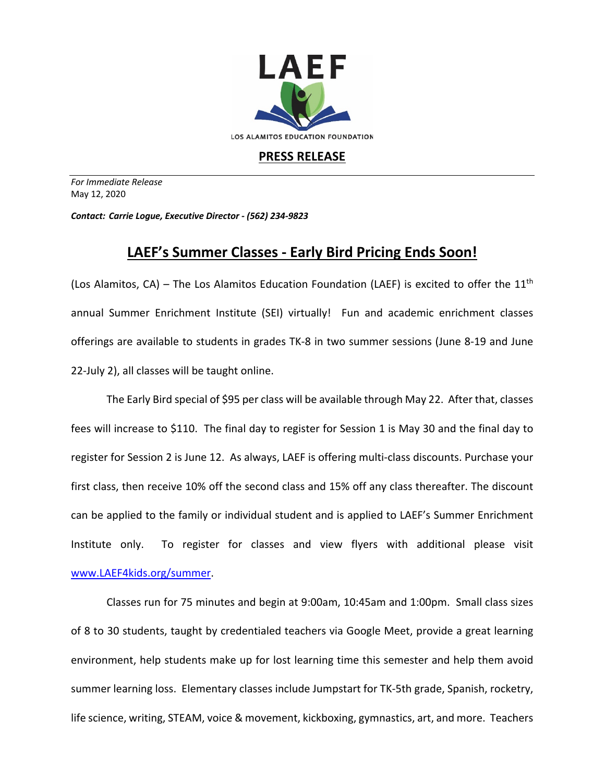

## **PRESS RELEASE**

*For Immediate Release*  May 12, 2020

*Contact: Carrie Logue, Executive Director - (562) 234-9823*

## **LAEF's Summer Classes - Early Bird Pricing Ends Soon!**

(Los Alamitos, CA) – The Los Alamitos Education Foundation (LAEF) is excited to offer the 11<sup>th</sup> annual Summer Enrichment Institute (SEI) virtually! Fun and academic enrichment classes offerings are available to students in grades TK-8 in two summer sessions (June 8-19 and June 22-July 2), all classes will be taught online.

The Early Bird special of \$95 per class will be available through May 22. After that, classes fees will increase to \$110. The final day to register for Session 1 is May 30 and the final day to register for Session 2 is June 12. As always, LAEF is offering multi-class discounts. Purchase your first class, then receive 10% off the second class and 15% off any class thereafter. The discount can be applied to the family or individual student and is applied to LAEF's Summer Enrichment Institute only. To register for classes and view flyers with additional please visit www.LAEF4kids.org/summer.

Classes run for 75 minutes and begin at 9:00am, 10:45am and 1:00pm. Small class sizes of 8 to 30 students, taught by credentialed teachers via Google Meet, provide a great learning environment, help students make up for lost learning time this semester and help them avoid summer learning loss. Elementary classes include Jumpstart for TK-5th grade, Spanish, rocketry, life science, writing, STEAM, voice & movement, kickboxing, gymnastics, art, and more. Teachers